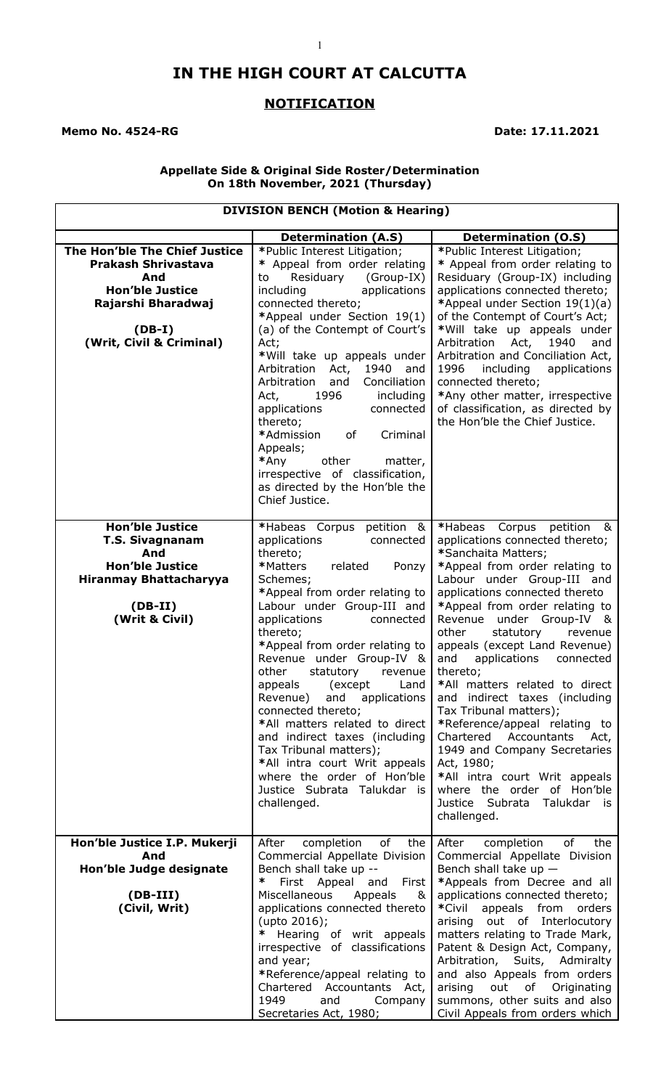# **IN THE HIGH COURT AT CALCUTTA**

## **NOTIFICATION**

#### **Memo No. 4524-RG** Date: 17.11.2021

#### **Appellate Side & Original Side Roster/Determination On 18th November, 2021 (Thursday)**

### **DIVISION BENCH (Motion & Hearing)**

| The Hon'ble The Chief Justice                                                                                                                     | <b>Determination (A.S)</b><br>*Public Interest Litigation;                                                                                                                                                                                                                                                                                                                                                                                                                                                                                                                                                               | <b>Determination (O.S)</b><br>*Public Interest Litigation;                                                                                                                                                                                                                                                                                                                                                                                                                                                                                                                                                                                                                                                       |
|---------------------------------------------------------------------------------------------------------------------------------------------------|--------------------------------------------------------------------------------------------------------------------------------------------------------------------------------------------------------------------------------------------------------------------------------------------------------------------------------------------------------------------------------------------------------------------------------------------------------------------------------------------------------------------------------------------------------------------------------------------------------------------------|------------------------------------------------------------------------------------------------------------------------------------------------------------------------------------------------------------------------------------------------------------------------------------------------------------------------------------------------------------------------------------------------------------------------------------------------------------------------------------------------------------------------------------------------------------------------------------------------------------------------------------------------------------------------------------------------------------------|
| <b>Prakash Shrivastava</b><br>And<br><b>Hon'ble Justice</b><br>Rajarshi Bharadwaj<br>$(DB-I)$<br>(Writ, Civil & Criminal)                         | * Appeal from order relating<br>Residuary<br>(Group-IX)<br>to<br>applications<br>including<br>connected thereto;<br>*Appeal under Section 19(1)<br>(a) of the Contempt of Court's<br>Act;<br>*Will take up appeals under<br>Arbitration<br>1940<br>Act,<br>and<br>Arbitration<br>Conciliation<br>and<br>1996<br>Act,<br>including<br>applications<br>connected<br>thereto;<br>*Admission<br>of<br>Criminal<br>Appeals;<br>*Any<br>other<br>matter,<br>irrespective of classification,<br>as directed by the Hon'ble the<br>Chief Justice.                                                                                | * Appeal from order relating to<br>Residuary (Group-IX) including<br>applications connected thereto;<br>*Appeal under Section 19(1)(a)<br>of the Contempt of Court's Act;<br>*Will take up appeals under<br>Arbitration<br>1940<br>Act,<br>and<br>Arbitration and Conciliation Act,<br>1996<br>including<br>applications<br>connected thereto;<br>*Any other matter, irrespective<br>of classification, as directed by<br>the Hon'ble the Chief Justice.                                                                                                                                                                                                                                                         |
| <b>Hon'ble Justice</b><br><b>T.S. Sivagnanam</b><br>And<br><b>Hon'ble Justice</b><br><b>Hiranmay Bhattacharyya</b><br>$(DB-II)$<br>(Writ & Civil) | *Habeas Corpus petition &<br>applications<br>connected<br>thereto;<br>*Matters<br>related<br>Ponzy<br>Schemes;<br>*Appeal from order relating to<br>Labour under Group-III and<br>applications<br>connected<br>thereto;<br>*Appeal from order relating to<br>Revenue under Group-IV &<br>other<br>statutory<br>revenue<br>appeals<br>(except)<br>Land<br>applications<br>Revenue)<br>and<br>connected thereto;<br>*All matters related to direct<br>and indirect taxes (including<br>Tax Tribunal matters);<br>*All intra court Writ appeals<br>where the order of Hon'ble<br>Justice Subrata Talukdar is<br>challenged. | *Habeas Corpus petition<br><u>&amp;</u><br>applications connected thereto;<br>*Sanchaita Matters;<br>*Appeal from order relating to<br>Labour under Group-III and<br>applications connected thereto<br>*Appeal from order relating to<br>Revenue under Group-IV &<br>other<br>statutory<br>revenue<br>appeals (except Land Revenue)<br>and<br>applications<br>connected<br>thereto;<br>*All matters related to direct<br>and indirect taxes (including<br>Tax Tribunal matters);<br>*Reference/appeal relating to<br>Chartered<br>Accountants<br>Act,<br>1949 and Company Secretaries<br>Act, 1980;<br>*All intra court Writ appeals<br>where the order of Hon'ble<br>Justice Subrata Talukdar is<br>challenged. |
| Hon'ble Justice I.P. Mukerji<br>And                                                                                                               | of<br>After<br>completion<br>the<br>Commercial Appellate Division                                                                                                                                                                                                                                                                                                                                                                                                                                                                                                                                                        | of<br>After<br>completion<br>the<br>Commercial Appellate Division                                                                                                                                                                                                                                                                                                                                                                                                                                                                                                                                                                                                                                                |
| Hon'ble Judge designate                                                                                                                           | Bench shall take up --<br>∗<br>First                                                                                                                                                                                                                                                                                                                                                                                                                                                                                                                                                                                     | Bench shall take up $-$<br>*Appeals from Decree and all                                                                                                                                                                                                                                                                                                                                                                                                                                                                                                                                                                                                                                                          |
| $(DB-III)$<br>(Civil, Writ)                                                                                                                       | First Appeal and<br>Miscellaneous<br>Appeals<br>&<br>applications connected thereto<br>(upto 2016);<br>* Hearing of writ appeals<br>irrespective of classifications<br>and year;<br>*Reference/appeal relating to<br>Chartered Accountants Act,<br>1949<br>and<br>Company<br>Secretaries Act, 1980;                                                                                                                                                                                                                                                                                                                      | applications connected thereto;<br>*Civil appeals from<br>orders<br>arising out of Interlocutory<br>matters relating to Trade Mark,<br>Patent & Design Act, Company,<br>Arbitration, Suits, Admiralty<br>and also Appeals from orders<br>out of Originating<br>arising<br>summons, other suits and also<br>Civil Appeals from orders which                                                                                                                                                                                                                                                                                                                                                                       |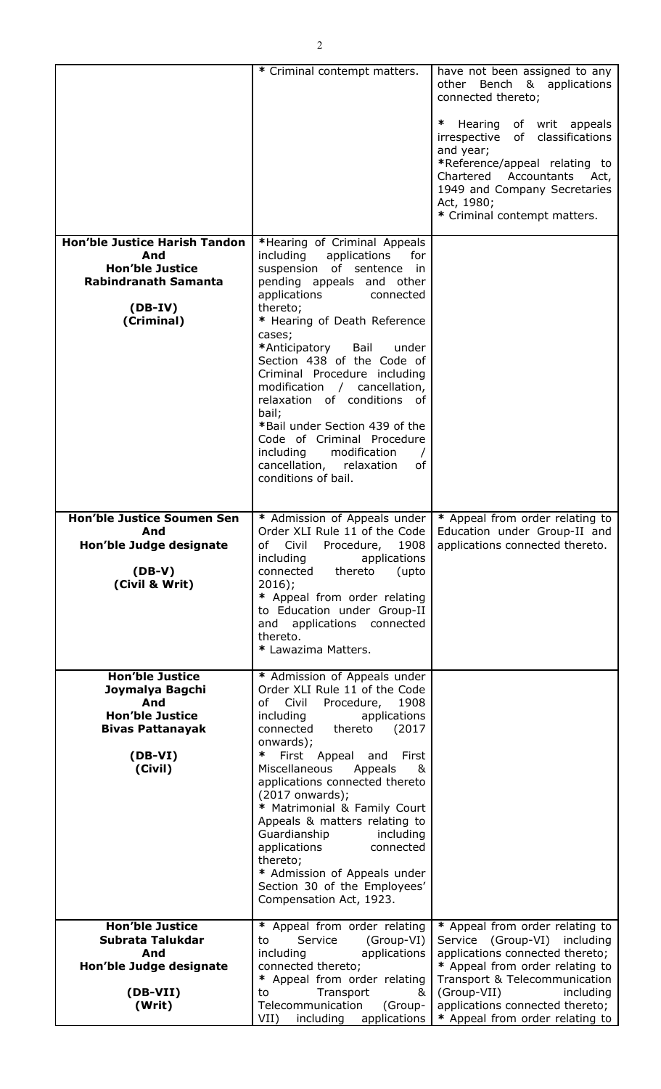|                                                                                                                                 | * Criminal contempt matters.                                                                                                                                                                                                                                                                                                                                                                                                                                                                                                                               | have not been assigned to any<br>other Bench & applications<br>connected thereto;<br>∗<br>Hearing of writ appeals<br>irrespective of classifications<br>and year;<br>*Reference/appeal relating to<br>Chartered Accountants<br>Act,<br>1949 and Company Secretaries<br>Act, 1980;<br>* Criminal contempt matters. |
|---------------------------------------------------------------------------------------------------------------------------------|------------------------------------------------------------------------------------------------------------------------------------------------------------------------------------------------------------------------------------------------------------------------------------------------------------------------------------------------------------------------------------------------------------------------------------------------------------------------------------------------------------------------------------------------------------|-------------------------------------------------------------------------------------------------------------------------------------------------------------------------------------------------------------------------------------------------------------------------------------------------------------------|
| <b>Hon'ble Justice Harish Tandon</b><br>And<br><b>Hon'ble Justice</b><br><b>Rabindranath Samanta</b><br>$(DB-IV)$<br>(Criminal) | *Hearing of Criminal Appeals<br>including<br>applications<br>for<br>suspension of sentence in<br>pending appeals and other<br>applications<br>connected<br>thereto;<br>* Hearing of Death Reference<br>cases;<br>*Anticipatory<br>Bail<br>under<br>Section 438 of the Code of<br>Criminal Procedure including<br>modification / cancellation,<br>relaxation of conditions of<br>bail;<br>*Bail under Section 439 of the<br>Code of Criminal Procedure<br>including<br>modification<br>$\prime$<br>cancellation,<br>relaxation<br>of<br>conditions of bail. |                                                                                                                                                                                                                                                                                                                   |
| Hon'ble Justice Soumen Sen<br>And<br>Hon'ble Judge designate<br>$(DB-V)$<br>(Civil & Writ)                                      | Order XLI Rule 11 of the Code<br>including<br>applications<br>connected<br>thereto<br>(upto<br>$2016$ ;<br>* Appeal from order relating<br>to Education under Group-II<br>and applications connected<br>thereto.<br>* Lawazima Matters.                                                                                                                                                                                                                                                                                                                    | * Admission of Appeals under   * Appeal from order relating to<br>Education under Group-II and<br>of Civil Procedure, 1908   applications connected thereto.                                                                                                                                                      |
| Hon'ble Justice<br>Joymalya Bagchi<br>And<br><b>Hon'ble Justice</b><br><b>Bivas Pattanayak</b><br>$(DB-VI)$<br>(Civil)          | * Admission of Appeals under<br>Order XLI Rule 11 of the Code<br>of Civil<br>Procedure,<br>1908<br>applications<br>including<br>connected thereto<br>(2017)<br>onwards);<br>∗<br>First Appeal and<br>First<br>Miscellaneous<br>Appeals<br>&<br>applications connected thereto<br>(2017 onwards);<br>* Matrimonial & Family Court<br>Appeals & matters relating to<br>Guardianship<br>including<br>applications<br>connected<br>thereto;<br>* Admission of Appeals under<br>Section 30 of the Employees'<br>Compensation Act, 1923.                         |                                                                                                                                                                                                                                                                                                                   |
| <b>Hon'ble Justice</b><br>Subrata Talukdar<br>And<br>Hon'ble Judge designate<br>(DB-VII)<br>(Writ)                              | * Appeal from order relating<br>Service<br>(Group-VI)<br>to<br>including<br>applications<br>connected thereto;<br>* Appeal from order relating<br>Transport<br>to<br>&<br>Telecommunication<br>(Group-<br>$VII$ )                                                                                                                                                                                                                                                                                                                                          | * Appeal from order relating to<br>Service (Group-VI) including<br>applications connected thereto;<br>* Appeal from order relating to<br>Transport & Telecommunication<br>(Group-VII)<br>including<br>applications connected thereto;<br>including applications $  *$ Appeal from order relating to               |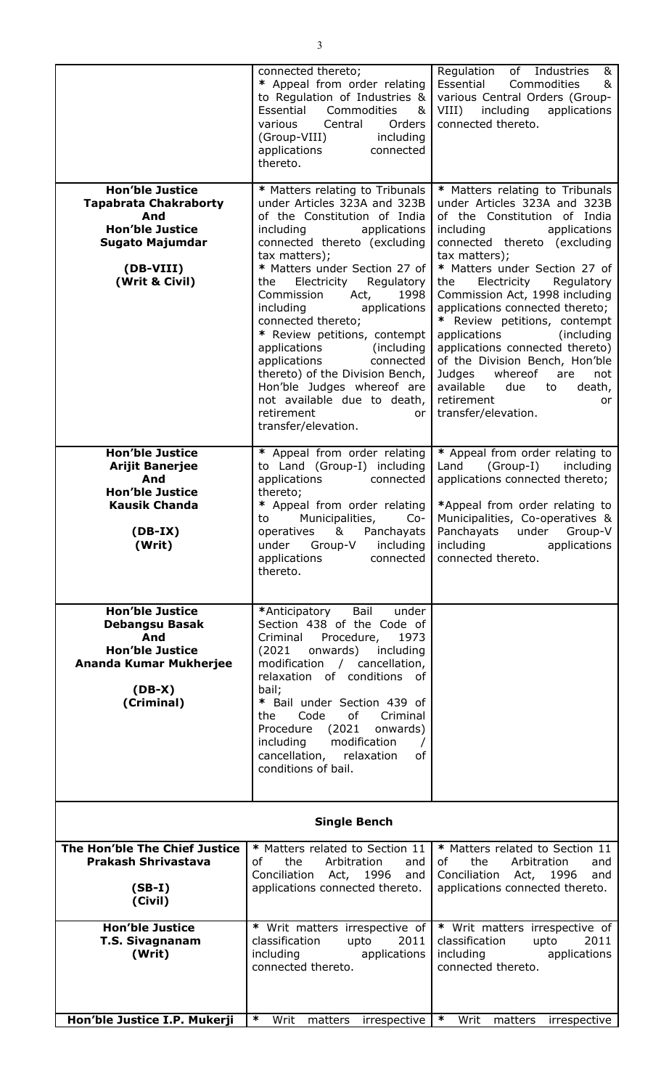|                                                                                                                                                  | connected thereto;<br>* Appeal from order relating<br>to Regulation of Industries $\&$<br>Essential Commodities<br>&<br>various Central<br>Orders<br>(Group-VIII)<br>including<br>applications<br>connected<br>thereto.                                                                                                                                                                                                                                                                                                                                                 | Regulation of Industries<br>&<br>Essential Commodities<br>&<br>various Central Orders (Group-<br>VIII) including<br>applications<br>connected thereto.                                                                                                                                                                                                                                                                                                                                                                                                                  |
|--------------------------------------------------------------------------------------------------------------------------------------------------|-------------------------------------------------------------------------------------------------------------------------------------------------------------------------------------------------------------------------------------------------------------------------------------------------------------------------------------------------------------------------------------------------------------------------------------------------------------------------------------------------------------------------------------------------------------------------|-------------------------------------------------------------------------------------------------------------------------------------------------------------------------------------------------------------------------------------------------------------------------------------------------------------------------------------------------------------------------------------------------------------------------------------------------------------------------------------------------------------------------------------------------------------------------|
| <b>Hon'ble Justice</b><br><b>Tapabrata Chakraborty</b><br>And<br><b>Hon'ble Justice</b><br><b>Sugato Majumdar</b><br>(DB-VIII)<br>(Writ & Civil) | * Matters relating to Tribunals<br>under Articles 323A and 323B<br>of the Constitution of India<br>including<br>applications<br>connected thereto (excluding<br>tax matters);<br>* Matters under Section 27 of<br>Regulatory<br>Electricity<br>the<br>Commission<br>Act,<br>1998<br>including applications<br>connected thereto;<br>* Review petitions, contempt<br>applications<br>(including)<br>connected<br>applications<br>thereto) of the Division Bench,<br>Hon'ble Judges whereof are<br>not available due to death,<br>retirement<br>or<br>transfer/elevation. | * Matters relating to Tribunals<br>under Articles 323A and 323B<br>of the Constitution of India<br>including<br>applications<br>connected thereto (excluding<br>tax matters);<br>* Matters under Section 27 of<br>Electricity<br>Regulatory<br>the<br>Commission Act, 1998 including<br>applications connected thereto;<br>* Review petitions, contempt<br>applications<br>(including)<br>applications connected thereto)<br>of the Division Bench, Hon'ble<br>Judges whereof<br>are<br>not<br>available<br>due to<br>death,<br>retirement<br>or<br>transfer/elevation. |
| Hon'ble Justice<br><b>Arijit Banerjee</b><br>And<br><b>Hon'ble Justice</b><br><b>Kausik Chanda</b><br>$(DB-IX)$<br>(Writ)                        | * Appeal from order relating<br>to Land (Group-I) including<br>applications<br>connected<br>thereto;<br>* Appeal from order relating<br>Municipalities,<br>$Co-$<br>to<br>operatives & Panchayats<br>applications<br>connected<br>thereto.                                                                                                                                                                                                                                                                                                                              | * Appeal from order relating to<br>Land (Group-I) including<br>applications connected thereto;<br>*Appeal from order relating to<br>Municipalities, Co-operatives &<br>Panchayats under Group-V<br>under $Group-V$ including including applications<br>connected thereto.                                                                                                                                                                                                                                                                                               |
| <b>Hon'ble Justice</b><br><b>Debangsu Basak</b><br>And<br><b>Hon'ble Justice</b><br>Ananda Kumar Mukherjee<br>$(DB-X)$<br>(Criminal)             | Bail<br>*Anticipatory<br>under<br>Section 438 of the Code of<br>Procedure,<br>Criminal<br>1973<br>onwards)<br>(2021)<br>including<br>modification / cancellation,<br>relaxation of conditions of<br>bail;<br>* Bail under Section 439 of<br>of<br>Criminal<br>Code<br>the<br>Procedure<br>(2021)<br>onwards)<br>modification<br>including<br>cancellation, relaxation<br>of<br>conditions of bail.                                                                                                                                                                      |                                                                                                                                                                                                                                                                                                                                                                                                                                                                                                                                                                         |
| <b>Single Bench</b>                                                                                                                              |                                                                                                                                                                                                                                                                                                                                                                                                                                                                                                                                                                         |                                                                                                                                                                                                                                                                                                                                                                                                                                                                                                                                                                         |
| The Hon'ble The Chief Justice<br>Prakash Shrivastava<br>$(SB-I)$<br>(Civil)                                                                      | * Matters related to Section 11<br>of<br>the<br>Arbitration<br>and<br>Conciliation Act, 1996<br>and<br>applications connected thereto.                                                                                                                                                                                                                                                                                                                                                                                                                                  | * Matters related to Section 11<br>of the contract of the contract of the contract of the contract of the contract of the contract of the contract<br>the<br>Arbitration<br>and<br>Conciliation Act, 1996<br>and<br>applications connected thereto.                                                                                                                                                                                                                                                                                                                     |
| <b>Hon'ble Justice</b><br><b>T.S. Sivagnanam</b><br>(Writ)                                                                                       | * Writ matters irrespective of<br>classification<br>upto<br>2011<br>including<br>applications<br>connected thereto.                                                                                                                                                                                                                                                                                                                                                                                                                                                     | * Writ matters irrespective of<br>classification<br>2011<br>upto<br>including<br>applications<br>connected thereto.                                                                                                                                                                                                                                                                                                                                                                                                                                                     |
| Hon'ble Justice I.P. Mukerji                                                                                                                     | ∗<br>Writ<br>matters<br>irrespective                                                                                                                                                                                                                                                                                                                                                                                                                                                                                                                                    | ∗<br>Writ<br>matters<br>irrespective                                                                                                                                                                                                                                                                                                                                                                                                                                                                                                                                    |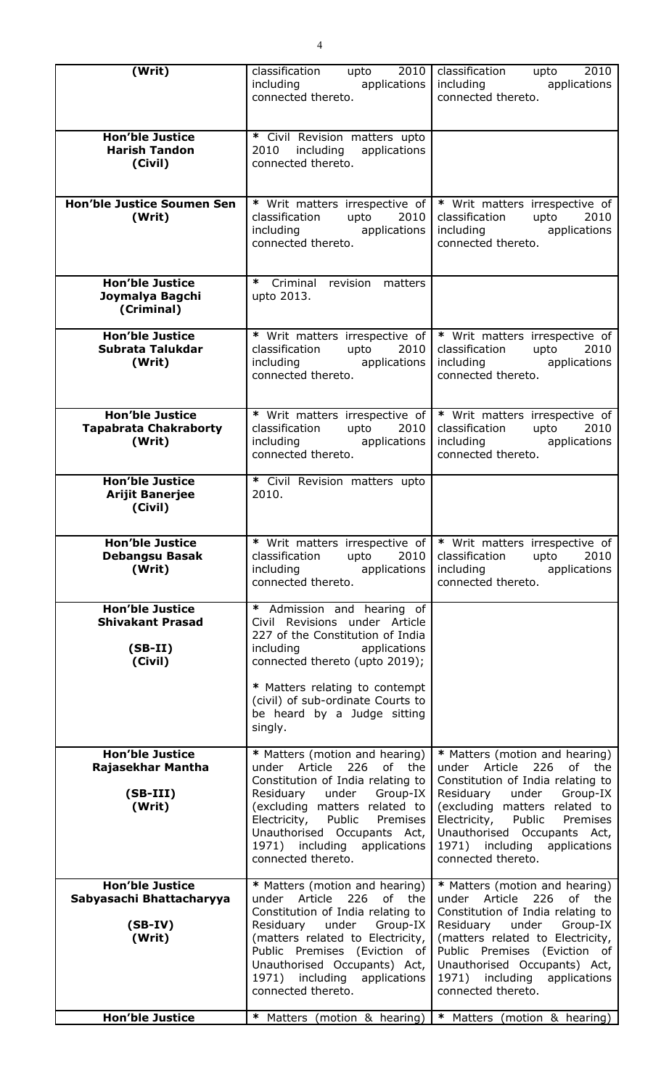| (Writ)                                                                    | classification upto 2010<br>including applications<br>connected thereto.                                                                                                                                                                                                                    | classification upto 2010<br>including including<br>applications<br>connected thereto.                                                                                                                                                                                                       |
|---------------------------------------------------------------------------|---------------------------------------------------------------------------------------------------------------------------------------------------------------------------------------------------------------------------------------------------------------------------------------------|---------------------------------------------------------------------------------------------------------------------------------------------------------------------------------------------------------------------------------------------------------------------------------------------|
| <b>Hon'ble Justice</b><br><b>Harish Tandon</b><br>(Civil)                 | * Civil Revision matters upto<br>2010 including applications<br>connected thereto.                                                                                                                                                                                                          |                                                                                                                                                                                                                                                                                             |
| <b>Hon'ble Justice Soumen Sen</b><br>(Writ)                               | * Writ matters irrespective of<br>classification<br>upto<br>2010<br>including applications<br>connected thereto.                                                                                                                                                                            | * Writ matters irrespective of<br>classification<br>upto<br>2010<br>applications<br>including<br>connected thereto.                                                                                                                                                                         |
| <b>Hon'ble Justice</b><br>Joymalya Bagchi<br>(Criminal)                   | $\ast$<br>Criminal revision<br>matters<br>upto 2013.                                                                                                                                                                                                                                        |                                                                                                                                                                                                                                                                                             |
| <b>Hon'ble Justice</b><br>Subrata Talukdar<br>(Writ)                      | * Writ matters irrespective of<br>classification<br>upto<br>2010<br>including applications<br>connected thereto.                                                                                                                                                                            | * Writ matters irrespective of<br>2010<br>classification<br>upto<br>including<br>applications<br>connected thereto.                                                                                                                                                                         |
| <b>Hon'ble Justice</b><br><b>Tapabrata Chakraborty</b><br>(Writ)          | * Writ matters irrespective of<br>2010<br>classification<br>upto<br>including applications<br>connected thereto.                                                                                                                                                                            | * Writ matters irrespective of<br>classification<br>2010<br>upto<br>including<br>applications<br>connected thereto.                                                                                                                                                                         |
| <b>Hon'ble Justice</b><br><b>Arijit Banerjee</b><br>(Civil)               | * Civil Revision matters upto<br>2010.                                                                                                                                                                                                                                                      |                                                                                                                                                                                                                                                                                             |
| <b>Hon'ble Justice</b><br>Debangsu Basak<br>(Writ)                        | 2010<br>classification upto<br>including applications<br>connected thereto.                                                                                                                                                                                                                 | * Writ matters irrespective of   * Writ matters irrespective of<br>classification upto<br>2010<br>including<br>applications<br>connected thereto.                                                                                                                                           |
| <b>Hon'ble Justice</b><br><b>Shivakant Prasad</b><br>$(SB-II)$<br>(Civil) | * Admission and hearing of<br>Civil Revisions under Article<br>227 of the Constitution of India<br>including applications<br>connected thereto (upto 2019);<br>* Matters relating to contempt<br>(civil) of sub-ordinate Courts to<br>be heard by a Judge sitting<br>singly.                |                                                                                                                                                                                                                                                                                             |
| <b>Hon'ble Justice</b><br>Rajasekhar Mantha<br>$(SB-III)$<br>(Writ)       | * Matters (motion and hearing)<br>under Article 226 of the<br>Constitution of India relating to<br>Residuary under Group-IX<br>(excluding matters related to<br>Electricity, Public Premises<br>Unauthorised Occupants Act,<br>1971) including applications<br>connected thereto.           | * Matters (motion and hearing)<br>under Article 226<br>of the<br>Constitution of India relating to<br>Residuary under Group-IX<br>(excluding matters related to<br>Electricity, Public Premises<br>Unauthorised Occupants Act,<br>1971) including applications<br>connected thereto.        |
| <b>Hon'ble Justice</b><br>Sabyasachi Bhattacharyya<br>$(SB-IV)$<br>(Writ) | * Matters (motion and hearing)<br>under Article<br>226<br>of the<br>Constitution of India relating to<br>Residuary under Group-IX<br>(matters related to Electricity,<br>Public Premises (Eviction of<br>Unauthorised Occupants) Act,<br>1971) including applications<br>connected thereto. | * Matters (motion and hearing)<br>under Article<br>226<br>of the<br>Constitution of India relating to<br>Residuary under Group-IX<br>(matters related to Electricity,<br>Public Premises (Eviction of<br>Unauthorised Occupants) Act,<br>1971) including applications<br>connected thereto. |
| <b>Hon'ble Justice</b>                                                    |                                                                                                                                                                                                                                                                                             | * Matters (motion & hearing)   * Matters (motion & hearing)                                                                                                                                                                                                                                 |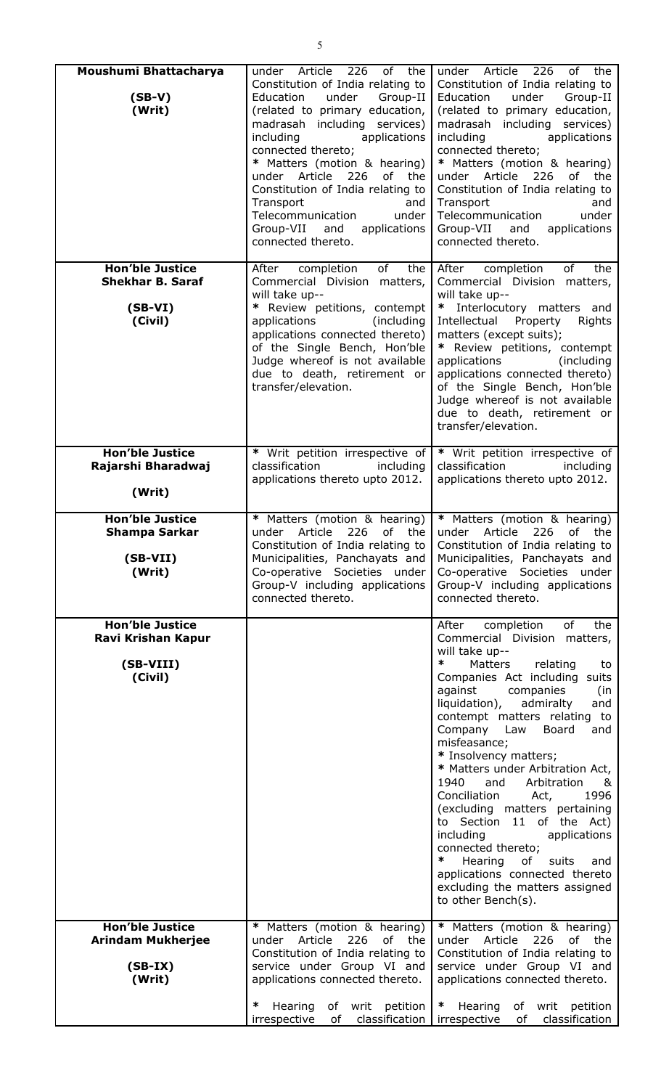| Moushumi Bhattacharya<br>$(SB-V)$<br>(Writ)                               | 226<br>of the<br>under Article<br>Constitution of India relating to<br>under<br>Group-II<br>Education<br>(related to primary education,<br>madrasah including services)<br>including<br>applications<br>connected thereto;<br>* Matters (motion & hearing)<br>under Article<br>226<br>of the<br>Constitution of India relating to<br>Transport<br>and<br>Telecommunication<br>under<br>Group-VII<br>applications<br>and<br>connected thereto. | under Article<br>226<br>of<br>the<br>Constitution of India relating to<br>Education<br>under<br>Group-II<br>(related to primary education,<br>madrasah including services)<br>including<br>applications<br>connected thereto;<br>* Matters (motion & hearing)<br>under Article<br>226<br>of<br>the<br>Constitution of India relating to<br>Transport<br>and<br>under<br>Telecommunication<br>Group-VII<br>applications<br>and<br>connected thereto.                                                                                                                                                                                                                                               |
|---------------------------------------------------------------------------|-----------------------------------------------------------------------------------------------------------------------------------------------------------------------------------------------------------------------------------------------------------------------------------------------------------------------------------------------------------------------------------------------------------------------------------------------|---------------------------------------------------------------------------------------------------------------------------------------------------------------------------------------------------------------------------------------------------------------------------------------------------------------------------------------------------------------------------------------------------------------------------------------------------------------------------------------------------------------------------------------------------------------------------------------------------------------------------------------------------------------------------------------------------|
| <b>Hon'ble Justice</b><br><b>Shekhar B. Saraf</b><br>$(SB-VI)$<br>(Civil) | of<br>After completion<br>the<br>Commercial Division matters,<br>will take up--<br>* Review petitions, contempt<br>(including<br>applications<br>applications connected thereto)<br>of the Single Bench, Hon'ble<br>Judge whereof is not available<br>due to death, retirement or<br>transfer/elevation.                                                                                                                                      | of<br>the<br>After completion<br>Commercial Division matters,<br>will take up--<br>* Interlocutory matters and<br>Intellectual<br>Property<br>Rights<br>matters (except suits);<br>* Review petitions, contempt<br>applications<br>(including)<br>applications connected thereto)<br>of the Single Bench, Hon'ble<br>Judge whereof is not available<br>due to death, retirement or<br>transfer/elevation.                                                                                                                                                                                                                                                                                         |
| <b>Hon'ble Justice</b><br>Rajarshi Bharadwaj<br>(Writ)                    | * Writ petition irrespective of<br>classification<br>including<br>applications thereto upto 2012.                                                                                                                                                                                                                                                                                                                                             | * Writ petition irrespective of<br>classification<br>including<br>applications thereto upto 2012.                                                                                                                                                                                                                                                                                                                                                                                                                                                                                                                                                                                                 |
| <b>Hon'ble Justice</b><br><b>Shampa Sarkar</b><br>$(SB-VII)$<br>(Writ)    | * Matters (motion & hearing)<br>226<br>of<br>the<br>under<br>Article<br>Constitution of India relating to<br>Municipalities, Panchayats and<br>Co-operative Societies under<br>Group-V including applications<br>connected thereto.                                                                                                                                                                                                           | * Matters (motion & hearing)<br>under Article<br>226<br>of<br>the<br>Constitution of India relating to<br>Municipalities, Panchayats and<br>Co-operative Societies under<br>Group-V including applications<br>connected thereto.                                                                                                                                                                                                                                                                                                                                                                                                                                                                  |
| <b>Hon'ble Justice</b><br>Ravi Krishan Kapur<br>(SB-VIII)<br>(Civil)      |                                                                                                                                                                                                                                                                                                                                                                                                                                               | of<br>the<br>After<br>completion<br>Commercial Division matters,<br>will take up--<br>∗<br>Matters<br>relating<br>to<br>Companies Act including suits<br>against<br>companies<br>(in<br>liquidation),<br>admiralty<br>and<br>contempt matters relating to<br>Company<br>Law<br>Board<br>and<br>misfeasance;<br>* Insolvency matters;<br>* Matters under Arbitration Act,<br>1940<br>and<br>Arbitration<br>&<br>Conciliation<br>1996<br>Act,<br>(excluding matters pertaining<br>to Section 11 of the Act)<br>including<br>applications<br>connected thereto;<br>$\ast$<br>Hearing<br>of<br>suits<br>and<br>applications connected thereto<br>excluding the matters assigned<br>to other Bench(s). |
| <b>Hon'ble Justice</b><br><b>Arindam Mukherjee</b><br>$(SB-IX)$<br>(Writ) | * Matters (motion & hearing)<br>Article<br>226<br>under<br>of the<br>Constitution of India relating to<br>service under Group VI and<br>applications connected thereto.<br>∗<br>of writ<br>petition<br>Hearing<br>classification  <br>irrespective<br>of                                                                                                                                                                                      | * Matters (motion & hearing)<br>under Article<br>226<br>of<br>the<br>Constitution of India relating to<br>service under Group VI and<br>applications connected thereto.<br>∗<br>Hearing<br>of writ petition<br>irrespective<br>of<br>classification                                                                                                                                                                                                                                                                                                                                                                                                                                               |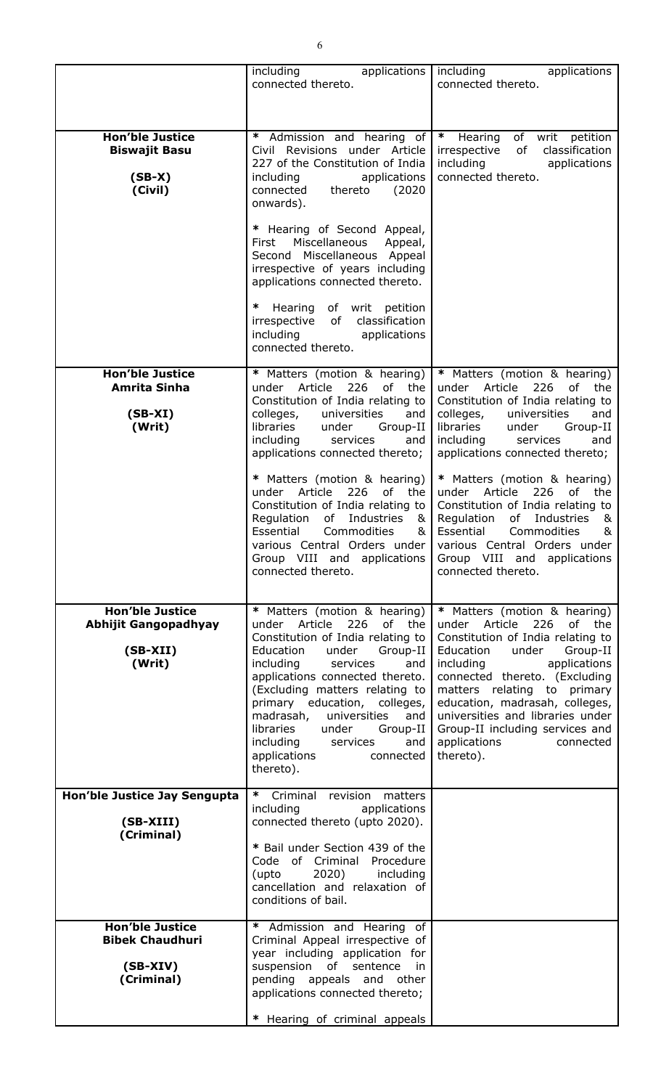|                                                                               | including<br>applications<br>connected thereto.                                                                                                                                                                                                                                                                                                                                                                               | including<br>applications<br>connected thereto.                                                                                                                                                                                                                                                                                                                                             |
|-------------------------------------------------------------------------------|-------------------------------------------------------------------------------------------------------------------------------------------------------------------------------------------------------------------------------------------------------------------------------------------------------------------------------------------------------------------------------------------------------------------------------|---------------------------------------------------------------------------------------------------------------------------------------------------------------------------------------------------------------------------------------------------------------------------------------------------------------------------------------------------------------------------------------------|
| <b>Hon'ble Justice</b><br><b>Biswajit Basu</b><br>$(SB-X)$<br>(Civil)         | ∗<br>Admission and hearing of<br>Civil Revisions under Article<br>227 of the Constitution of India<br>applications<br>including<br>connected<br>thereto<br>(2020)<br>onwards).                                                                                                                                                                                                                                                | $\ast$<br>of writ petition<br>Hearing<br>of<br>classification<br>irrespective<br>including<br>applications<br>connected thereto.                                                                                                                                                                                                                                                            |
|                                                                               | * Hearing of Second Appeal,<br>Miscellaneous<br>First<br>Appeal,<br>Second Miscellaneous Appeal<br>irrespective of years including<br>applications connected thereto.                                                                                                                                                                                                                                                         |                                                                                                                                                                                                                                                                                                                                                                                             |
|                                                                               | ∗<br>of writ petition<br>Hearing<br>of<br>classification<br>irrespective<br>including<br>applications<br>connected thereto.                                                                                                                                                                                                                                                                                                   |                                                                                                                                                                                                                                                                                                                                                                                             |
| <b>Hon'ble Justice</b>                                                        | * Matters (motion & hearing)                                                                                                                                                                                                                                                                                                                                                                                                  | * Matters (motion & hearing)                                                                                                                                                                                                                                                                                                                                                                |
| Amrita Sinha<br>$(SB-XI)$<br>(Writ)                                           | under Article 226<br>of the<br>Constitution of India relating to<br>colleges,<br>universities<br>and<br>libraries<br>under<br>Group-II<br>including<br>services<br>and<br>applications connected thereto;                                                                                                                                                                                                                     | Article<br>226<br>under<br>of<br>the<br>Constitution of India relating to<br>colleges,<br>universities<br>and<br>libraries<br>under<br>Group-II<br>including<br>services<br>and<br>applications connected thereto;                                                                                                                                                                          |
|                                                                               | * Matters (motion & hearing)<br>226<br>under Article<br>of the<br>Constitution of India relating to<br>Industries<br>&<br>Regulation<br>of<br>&<br>Essential<br>Commodities<br>various Central Orders under<br>Group VIII and applications<br>connected thereto.                                                                                                                                                              | * Matters (motion & hearing)<br>under Article<br>226<br>of the<br>Constitution of India relating to<br>Regulation<br>of<br>Industries<br>&<br>Essential<br>Commodities<br>&<br>various Central Orders under<br>Group VIII and<br>applications<br>connected thereto.                                                                                                                         |
| <b>Hon'ble Justice</b><br><b>Abhijit Gangopadhyay</b><br>$(SB-XII)$<br>(Writ) | * Matters (motion & hearing)<br>226<br>of<br>under Article<br>the<br>Constitution of India relating to<br>under<br>Group-II<br>Education<br>including<br>services<br>and<br>applications connected thereto.<br>(Excluding matters relating to<br>primary education, colleges,<br>madrasah,<br>universities<br>and<br>libraries<br>under<br>Group-II<br>including<br>services<br>and<br>applications<br>connected<br>thereto). | * Matters (motion & hearing)<br>226<br>Article<br>of<br>under<br>the<br>Constitution of India relating to<br>Education<br>Group-II<br>under<br>including<br>applications<br>connected thereto. (Excluding<br>matters relating to primary<br>education, madrasah, colleges,<br>universities and libraries under<br>Group-II including services and<br>applications<br>connected<br>thereto). |
| Hon'ble Justice Jay Sengupta<br>(SB-XIII)                                     | * Criminal revision<br>matters<br>including<br>applications<br>connected thereto (upto 2020).                                                                                                                                                                                                                                                                                                                                 |                                                                                                                                                                                                                                                                                                                                                                                             |
| (Criminal)                                                                    | * Bail under Section 439 of the<br>Code of Criminal<br>Procedure<br>2020)<br>including<br>(upto<br>cancellation and relaxation of<br>conditions of bail.                                                                                                                                                                                                                                                                      |                                                                                                                                                                                                                                                                                                                                                                                             |
| <b>Hon'ble Justice</b><br><b>Bibek Chaudhuri</b><br>$(SB-XIV)$<br>(Criminal)  | * Admission and Hearing of<br>Criminal Appeal irrespective of<br>year including application for<br>suspension<br>sentence<br>of<br>in<br>pending appeals and other<br>applications connected thereto;<br>* Hearing of criminal appeals                                                                                                                                                                                        |                                                                                                                                                                                                                                                                                                                                                                                             |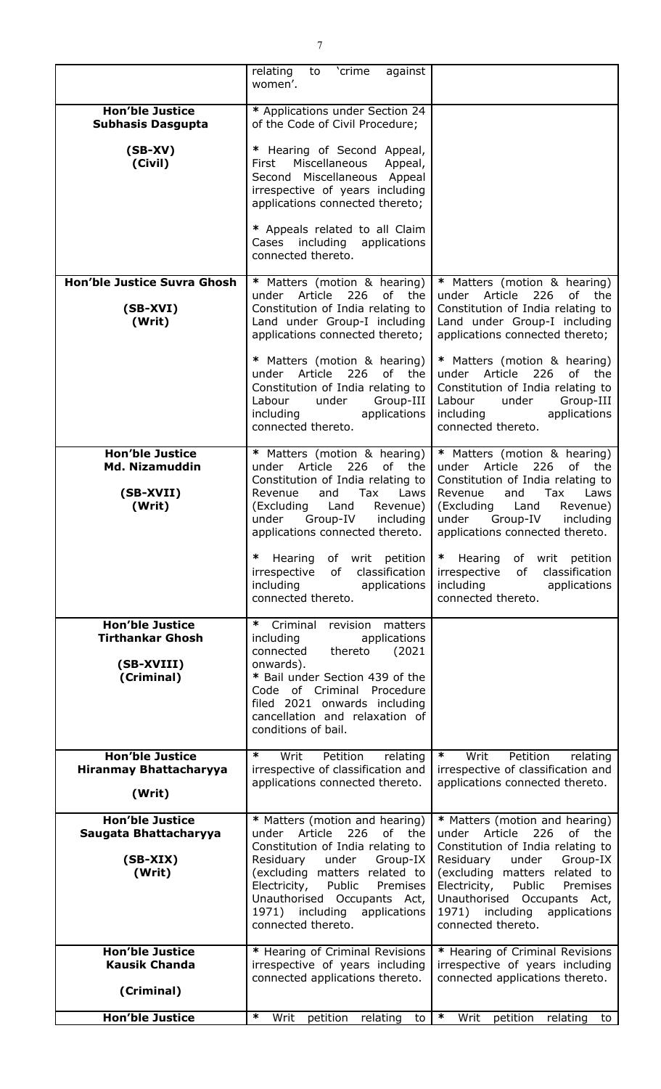|                                                                               | relating<br>'crime<br>against<br>to<br>women'.                                                                                                                                                                                                                                                         |                                                                                                                                                                                                                                                                                                           |
|-------------------------------------------------------------------------------|--------------------------------------------------------------------------------------------------------------------------------------------------------------------------------------------------------------------------------------------------------------------------------------------------------|-----------------------------------------------------------------------------------------------------------------------------------------------------------------------------------------------------------------------------------------------------------------------------------------------------------|
| <b>Hon'ble Justice</b><br><b>Subhasis Dasgupta</b>                            | * Applications under Section 24<br>of the Code of Civil Procedure;                                                                                                                                                                                                                                     |                                                                                                                                                                                                                                                                                                           |
| $(SB-XV)$<br>(Civil)                                                          | * Hearing of Second Appeal,<br>Miscellaneous<br>Appeal,<br>First<br>Second Miscellaneous Appeal<br>irrespective of years including<br>applications connected thereto;<br>* Appeals related to all Claim<br>Cases including applications                                                                |                                                                                                                                                                                                                                                                                                           |
|                                                                               | connected thereto.                                                                                                                                                                                                                                                                                     |                                                                                                                                                                                                                                                                                                           |
| <b>Hon'ble Justice Suvra Ghosh</b><br>$(SB-XVI)$<br>(Writ)                    | * Matters (motion & hearing)<br>Article<br>226<br>of the<br>under<br>Constitution of India relating to<br>Land under Group-I including<br>applications connected thereto;                                                                                                                              | * Matters (motion & hearing)<br>Article<br>226<br>of<br>under<br>the<br>Constitution of India relating to<br>Land under Group-I including<br>applications connected thereto;                                                                                                                              |
|                                                                               | * Matters (motion & hearing)<br>under Article 226<br>of the<br>Constitution of India relating to<br>Labour<br>under<br>Group-III<br>including<br>applications<br>connected thereto.                                                                                                                    | * Matters (motion & hearing)<br>under Article 226<br>0f<br>the<br>Constitution of India relating to<br>Labour<br>Group-III<br>under<br>including<br>applications<br>connected thereto.                                                                                                                    |
| <b>Hon'ble Justice</b><br><b>Md. Nizamuddin</b><br>(SB-XVII)<br>(Writ)        | * Matters (motion & hearing)<br>226<br>Article<br>of the<br>under<br>Constitution of India relating to<br>and<br>Tax<br>Laws<br>Revenue<br>(Excluding<br>Land<br>Revenue)<br>under<br>Group-IV<br>including<br>applications connected thereto.                                                         | * Matters (motion & hearing)<br>226<br>Article<br>0f<br>the<br>under<br>Constitution of India relating to<br>Revenue<br>and<br>Tax<br>Laws<br>Land<br>(Excluding<br>Revenue)<br>Group-IV<br>under<br>including<br>applications connected thereto.                                                         |
|                                                                               | ∗<br>Hearing<br>of writ petition<br>irrespective<br>of<br>classification<br>including<br>applications<br>connected thereto.                                                                                                                                                                            | ∗<br>Hearing<br>of writ petition<br>of<br>classification<br>irrespective<br>including<br>applications<br>connected thereto.                                                                                                                                                                               |
| <b>Hon'ble Justice</b><br><b>Tirthankar Ghosh</b><br>(SB-XVIII)<br>(Criminal) | ∗<br>Criminal<br>revision<br>matters<br>applications<br>including<br>thereto<br>connected<br>(2021)<br>onwards).<br>* Bail under Section 439 of the<br>Code of Criminal<br>Procedure<br>filed 2021 onwards including<br>cancellation and relaxation of<br>conditions of bail.                          |                                                                                                                                                                                                                                                                                                           |
| <b>Hon'ble Justice</b><br><b>Hiranmay Bhattacharyya</b><br>(Writ)             | $\ast$<br>Writ<br>Petition<br>relating<br>irrespective of classification and<br>applications connected thereto.                                                                                                                                                                                        | $\ast$<br>Petition<br>Writ<br>relating<br>irrespective of classification and<br>applications connected thereto.                                                                                                                                                                                           |
| <b>Hon'ble Justice</b><br>Saugata Bhattacharyya<br>$(SB-XIX)$<br>(Writ)       | * Matters (motion and hearing)<br>226<br>of the<br>Article<br>under<br>Constitution of India relating to<br>Group-IX<br>Residuary<br>under<br>(excluding matters related to<br>Electricity,<br>Public<br>Premises<br>Unauthorised Occupants Act,<br>1971) including applications<br>connected thereto. | * Matters (motion and hearing)<br>226<br>under Article<br>of<br>the<br>Constitution of India relating to<br>Residuary<br>Group-IX<br>under<br>(excluding matters related to<br>Electricity,<br>Public<br>Premises<br>Unauthorised Occupants Act,<br>applications<br>1971) including<br>connected thereto. |
| <b>Hon'ble Justice</b><br><b>Kausik Chanda</b><br>(Criminal)                  | * Hearing of Criminal Revisions<br>irrespective of years including<br>connected applications thereto.                                                                                                                                                                                                  | * Hearing of Criminal Revisions<br>irrespective of years including<br>connected applications thereto.                                                                                                                                                                                                     |
| <b>Hon'ble Justice</b>                                                        | ∗<br>Writ<br>petition<br>relating<br>to                                                                                                                                                                                                                                                                | $\ast$<br>Writ<br>petition<br>relating to                                                                                                                                                                                                                                                                 |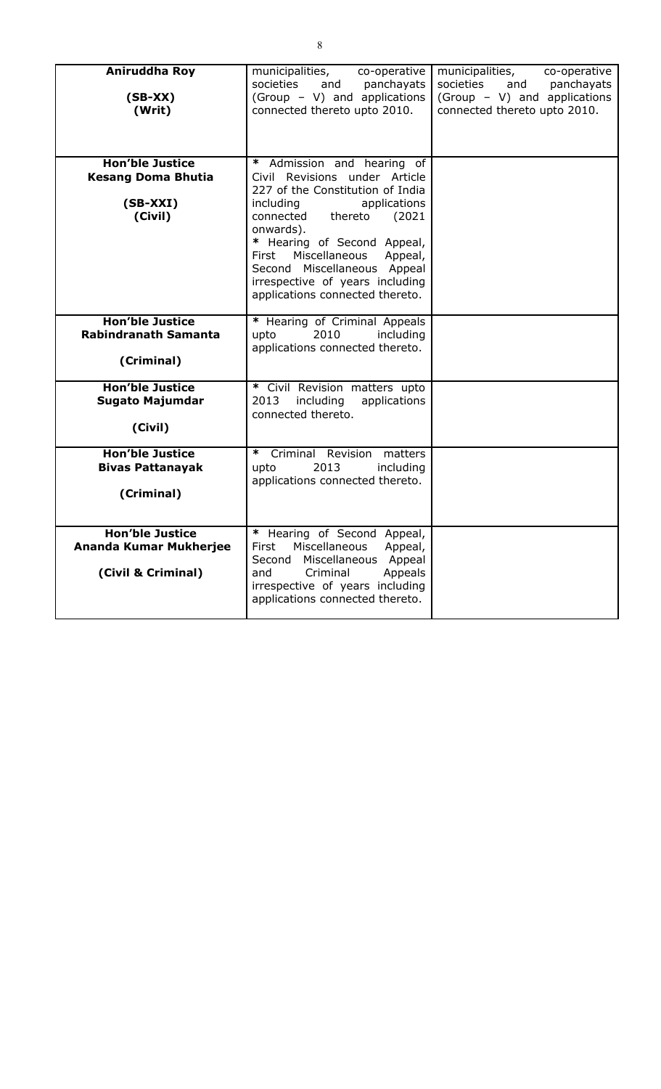| Aniruddha Roy<br>$(SB-XX)$<br>(Writ)                                         | municipalities,<br>co-operative<br>societies<br>and<br>panchayats<br>(Group - V) and applications<br>connected thereto upto 2010.                                                                                                                                                                                                                    | municipalities,<br>co-operative<br>societies<br>and<br>panchayats<br>(Group - V) and applications<br>connected thereto upto 2010. |
|------------------------------------------------------------------------------|------------------------------------------------------------------------------------------------------------------------------------------------------------------------------------------------------------------------------------------------------------------------------------------------------------------------------------------------------|-----------------------------------------------------------------------------------------------------------------------------------|
| <b>Hon'ble Justice</b><br><b>Kesang Doma Bhutia</b><br>$(SB-XXI)$<br>(Civil) | * Admission and hearing of<br>Civil Revisions under Article<br>227 of the Constitution of India<br>including<br>applications<br>connected<br>(2021)<br>thereto<br>onwards).<br>* Hearing of Second Appeal,<br>Miscellaneous<br>Appeal,<br>First<br>Second Miscellaneous Appeal<br>irrespective of years including<br>applications connected thereto. |                                                                                                                                   |
| <b>Hon'ble Justice</b><br><b>Rabindranath Samanta</b><br>(Criminal)          | * Hearing of Criminal Appeals<br>2010<br>including<br>upto<br>applications connected thereto.                                                                                                                                                                                                                                                        |                                                                                                                                   |
| <b>Hon'ble Justice</b><br><b>Sugato Majumdar</b><br>(Civil)                  | * Civil Revision matters upto<br>2013<br>including<br>applications<br>connected thereto.                                                                                                                                                                                                                                                             |                                                                                                                                   |
| <b>Hon'ble Justice</b><br><b>Bivas Pattanayak</b><br>(Criminal)              | *<br>Criminal Revision matters<br>2013<br>including<br>upto<br>applications connected thereto.                                                                                                                                                                                                                                                       |                                                                                                                                   |
| <b>Hon'ble Justice</b><br>Ananda Kumar Mukherjee<br>(Civil & Criminal)       | * Hearing of Second Appeal,<br>Miscellaneous<br>First<br>Appeal,<br>Miscellaneous<br>Second<br>Appeal<br>and<br>Criminal<br>Appeals<br>irrespective of years including<br>applications connected thereto.                                                                                                                                            |                                                                                                                                   |